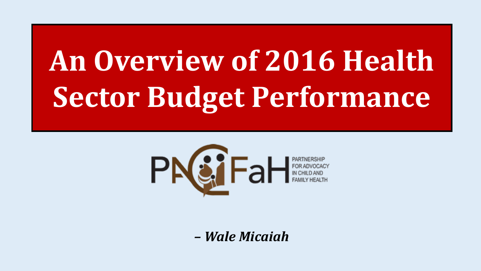# An Overview of 2016 Health Sector Budget Performance



- Wale Micaiah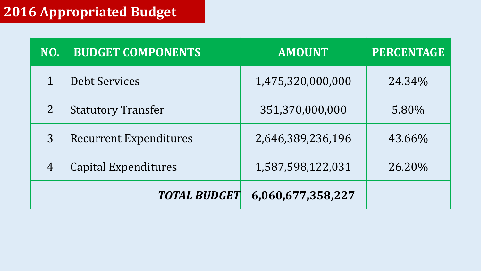### **2016 Appropriated Budget**

| NO.            | <b>BUDGET COMPONENTS</b>      | <b>AMOUNT</b>     | <b>PERCENTAGE</b> |
|----------------|-------------------------------|-------------------|-------------------|
|                | Debt Services                 | 1,475,320,000,000 | 24.34%            |
| $\overline{2}$ | <b>Statutory Transfer</b>     | 351,370,000,000   | 5.80%             |
| 3              | <b>Recurrent Expenditures</b> | 2,646,389,236,196 | 43.66%            |
| $\overline{4}$ | Capital Expenditures          | 1,587,598,122,031 | 26.20%            |
|                | <b>TOTAL BUDGET</b>           | 6,060,677,358,227 |                   |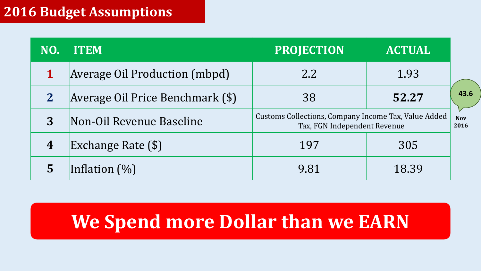### **2016 Budget Assumptions**

| NO.              | <b>ITEM</b>                      | <b>PROJECTION</b><br><b>ACTUAL</b>                                                                         |       |      |
|------------------|----------------------------------|------------------------------------------------------------------------------------------------------------|-------|------|
|                  | Average Oil Production (mbpd)    | 2.2<br>1.93                                                                                                |       |      |
| $\mathbf{2}$     | Average Oil Price Benchmark (\$) | 38                                                                                                         | 52.27 | 43.6 |
| 3                | Non-Oil Revenue Baseline         | Customs Collections, Company Income Tax, Value Added<br><b>Nov</b><br>Tax, FGN Independent Revenue<br>2016 |       |      |
| $\boldsymbol{4}$ | Exchange Rate (\$)               | 197                                                                                                        | 305   |      |
|                  | Inflation $(\%)$                 | 9.81                                                                                                       | 18.39 |      |

### **We Spend more Dollar than we EARN**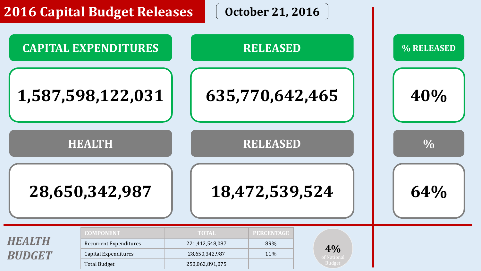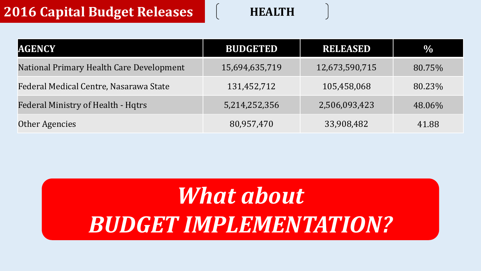### **2016 Capital Budget Releases HEALTH**

| <b>AGENCY</b>                             | <b>BUDGETED</b> | <b>RELEASED</b> | $\%$   |
|-------------------------------------------|-----------------|-----------------|--------|
| National Primary Health Care Development  | 15,694,635,719  | 12,673,590,715  | 80.75% |
| Federal Medical Centre, Nasarawa State    | 131,452,712     | 105,458,068     | 80.23% |
| <b>Federal Ministry of Health - Hqtrs</b> | 5,214,252,356   | 2,506,093,423   | 48.06% |
| Other Agencies                            | 80,957,470      | 33,908,482      | 41.88  |

## *What about BUDGET IMPLEMENTATION?*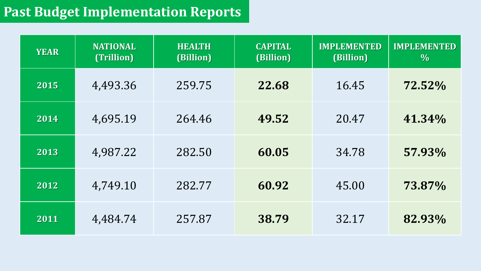### **Past Budget Implementation Reports**

| <b>YEAR</b> | <b>NATIONAL</b><br>(Trillion) | <b>HEALTH</b><br>(Billion) | <b>CAPITAL</b><br>(Billion) | <b>IMPLEMENTED</b><br>(Billion) | <b>IMPLEMENTED</b><br>$\frac{0}{0}$ |
|-------------|-------------------------------|----------------------------|-----------------------------|---------------------------------|-------------------------------------|
| 2015        | 4,493.36                      | 259.75                     | 22.68                       | 16.45                           | 72.52%                              |
| 2014        | 4,695.19                      | 264.46                     | 49.52                       | 20.47                           | 41.34%                              |
| 2013        | 4,987.22                      | 282.50                     | 60.05                       | 34.78                           | 57.93%                              |
| 2012        | 4,749.10                      | 282.77                     | 60.92                       | 45.00                           | 73.87%                              |
| 2011        | 4,484.74                      | 257.87                     | 38.79                       | 32.17                           | 82.93%                              |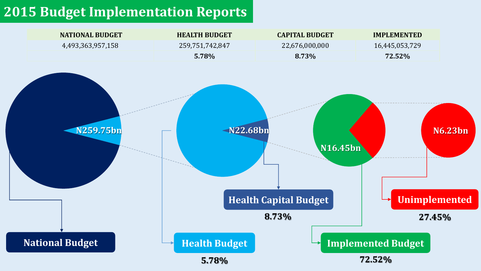### **2015 Budget Implementation Reports**

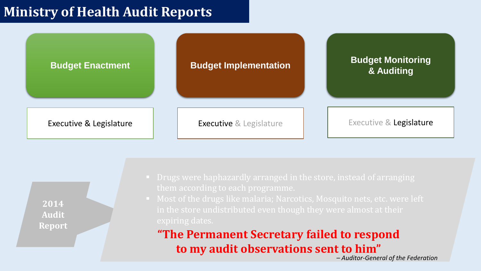### **Ministry of Health Audit Reports**



**2014 Audit Report**

- 
- 

### **"The Permanent Secretary failed to respond to my audit observations sent to him"**

*– Auditor-General of the Federation*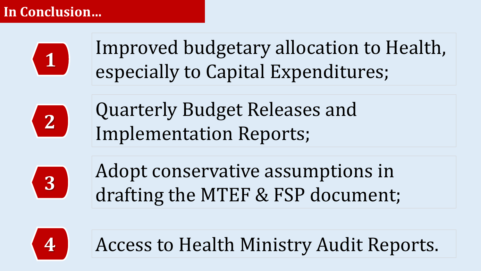### **In Conclusion…**



Improved budgetary allocation to Health, especially to Capital Expenditures;



Quarterly Budget Releases and Implementation Reports;



Adopt conservative assumptions in drafting the MTEF & FSP document;



**4** Access to Health Ministry Audit Reports.